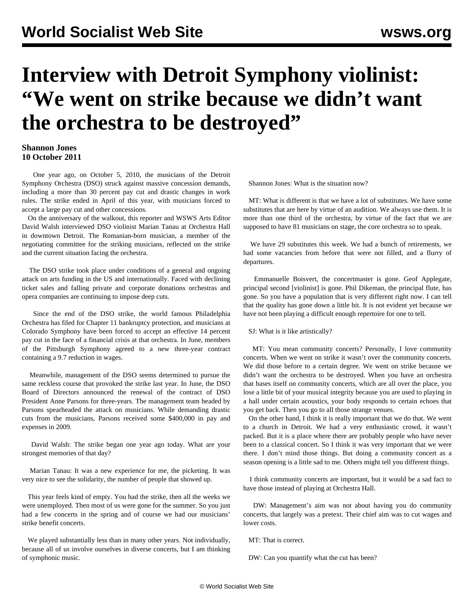## **Interview with Detroit Symphony violinist: "We went on strike because we didn't want the orchestra to be destroyed"**

## **Shannon Jones 10 October 2011**

 One year ago, on October 5, 2010, the musicians of the Detroit Symphony Orchestra (DSO) struck against massive concession demands, including a more than 30 percent pay cut and drastic changes in work rules. The strike ended in April of this year, with musicians forced to accept a large pay cut and other concessions.

 On the anniversary of the walkout, this reporter and WSWS Arts Editor David Walsh interviewed DSO violinist Marian Tanau at Orchestra Hall in downtown Detroit. The Romanian-born musician, a member of the negotiating committee for the striking musicians, reflected on the strike and the current situation facing the orchestra.

 The DSO strike took place under conditions of a general and ongoing attack on arts funding in the US and internationally. Faced with declining ticket sales and falling private and corporate donations orchestras and opera companies are continuing to impose deep cuts.

 Since the end of the DSO strike, the world famous Philadelphia Orchestra has filed for Chapter 11 bankruptcy protection, and musicians at Colorado Symphony have been forced to accept an effective 14 percent pay cut in the face of a financial crisis at that orchestra. In June, members of the Pittsburgh Symphony agreed to a new three-year contract containing a 9.7 reduction in wages.

 Meanwhile, management of the DSO seems determined to pursue the same reckless course that provoked the strike last year. In June, the DSO Board of Directors announced the renewal of the contract of DSO President Anne Parsons for three-years. The management team headed by Parsons spearheaded the attack on musicians. While demanding drastic cuts from the musicians, Parsons received some \$400,000 in pay and expenses in 2009.

 David Walsh: The strike began one year ago today. What are your strongest memories of that day?

 Marian Tanau: It was a new experience for me, the picketing. It was very nice to see the solidarity, the number of people that showed up.

 This year feels kind of empty. You had the strike, then all the weeks we were unemployed. Then most of us were gone for the summer. So you just had a few concerts in the spring and of course we had our musicians' strike benefit concerts.

 We played substantially less than in many other years. Not individually, because all of us involve ourselves in diverse concerts, but I am thinking of symphonic music.

Shannon Jones: What is the situation now?

 MT: What is different is that we have a lot of substitutes. We have some substitutes that are here by virtue of an audition. We always use them. It is more than one third of the orchestra, by virtue of the fact that we are supposed to have 81 musicians on stage, the core orchestra so to speak.

 We have 29 substitutes this week. We had a bunch of retirements, we had some vacancies from before that were not filled, and a flurry of departures.

 Emmanuelle Boisvert, the concertmaster is gone. Geof Applegate, principal second [violinist] is gone. Phil Dikeman, the principal flute, has gone. So you have a population that is very different right now. I can tell that the quality has gone down a little bit. It is not evident yet because we have not been playing a difficult enough repertoire for one to tell.

SJ: What is it like artistically?

 MT: You mean community concerts? Personally, I love community concerts. When we went on strike it wasn't over the community concerts. We did those before to a certain degree. We went on strike because we didn't want the orchestra to be destroyed. When you have an orchestra that bases itself on community concerts, which are all over the place, you lose a little bit of your musical integrity because you are used to playing in a hall under certain acoustics, your body responds to certain echoes that you get back. Then you go to all those strange venues.

 On the other hand, I think it is really important that we do that. We went to a church in Detroit. We had a very enthusiastic crowd, it wasn't packed. But it is a place where there are probably people who have never been to a classical concert. So I think it was very important that we were there. I don't mind those things. But doing a community concert as a season opening is a little sad to me. Others might tell you different things.

 I think community concerts are important, but it would be a sad fact to have those instead of playing at Orchestra Hall.

 DW: Management's aim was not about having you do community concerts, that largely was a pretext. Their chief aim was to cut wages and lower costs.

MT: That is correct.

DW: Can you quantify what the cut has been?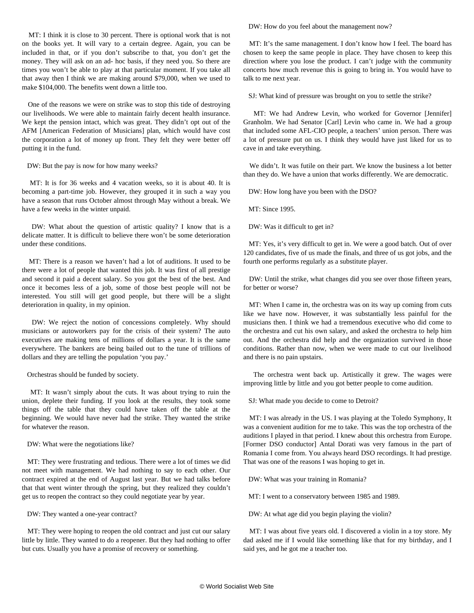MT: I think it is close to 30 percent. There is optional work that is not on the books yet. It will vary to a certain degree. Again, you can be included in that, or if you don't subscribe to that, you don't get the money. They will ask on an ad- hoc basis, if they need you. So there are times you won't be able to play at that particular moment. If you take all that away then I think we are making around \$79,000, when we used to make \$104,000. The benefits went down a little too.

 One of the reasons we were on strike was to stop this tide of destroying our livelihoods. We were able to maintain fairly decent health insurance. We kept the pension intact, which was great. They didn't opt out of the AFM [American Federation of Musicians] plan, which would have cost the corporation a lot of money up front. They felt they were better off putting it in the fund.

DW: But the pay is now for how many weeks?

 MT: It is for 36 weeks and 4 vacation weeks, so it is about 40. It is becoming a part-time job. However, they grouped it in such a way you have a season that runs October almost through May without a break. We have a few weeks in the winter unpaid.

 DW: What about the question of artistic quality? I know that is a delicate matter. It is difficult to believe there won't be some deterioration under these conditions.

 MT: There is a reason we haven't had a lot of auditions. It used to be there were a lot of people that wanted this job. It was first of all prestige and second it paid a decent salary. So you got the best of the best. And once it becomes less of a job, some of those best people will not be interested. You still will get good people, but there will be a slight deterioration in quality, in my opinion.

 DW: We reject the notion of concessions completely. Why should musicians or autoworkers pay for the crisis of their system? The auto executives are making tens of millions of dollars a year. It is the same everywhere. The bankers are being bailed out to the tune of trillions of dollars and they are telling the population 'you pay.'

Orchestras should be funded by society.

 MT: It wasn't simply about the cuts. It was about trying to ruin the union, deplete their funding. If you look at the results, they took some things off the table that they could have taken off the table at the beginning. We would have never had the strike. They wanted the strike for whatever the reason.

DW: What were the negotiations like?

 MT: They were frustrating and tedious. There were a lot of times we did not meet with management. We had nothing to say to each other. Our contract expired at the end of August last year. But we had talks before that that went winter through the spring, but they realized they couldn't get us to reopen the contract so they could negotiate year by year.

DW: They wanted a one-year contract?

 MT: They were hoping to reopen the old contract and just cut our salary little by little. They wanted to do a reopener. But they had nothing to offer but cuts. Usually you have a promise of recovery or something.

DW: How do you feel about the management now?

 MT: It's the same management. I don't know how I feel. The board has chosen to keep the same people in place. They have chosen to keep this direction where you lose the product. I can't judge with the community concerts how much revenue this is going to bring in. You would have to talk to me next year.

SJ: What kind of pressure was brought on you to settle the strike?

 MT: We had Andrew Levin, who worked for Governor [Jennifer] Granholm. We had Senator [Carl] Levin who came in. We had a group that included some AFL-CIO people, a teachers' union person. There was a lot of pressure put on us. I think they would have just liked for us to cave in and take everything.

 We didn't. It was futile on their part. We know the business a lot better than they do. We have a union that works differently. We are democratic.

DW: How long have you been with the DSO?

MT: Since 1995.

DW: Was it difficult to get in?

 MT: Yes, it's very difficult to get in. We were a good batch. Out of over 120 candidates, five of us made the finals, and three of us got jobs, and the fourth one performs regularly as a substitute player.

 DW: Until the strike, what changes did you see over those fifteen years, for better or worse?

 MT: When I came in, the orchestra was on its way up coming from cuts like we have now. However, it was substantially less painful for the musicians then. I think we had a tremendous executive who did come to the orchestra and cut his own salary, and asked the orchestra to help him out. And the orchestra did help and the organization survived in those conditions. Rather than now, when we were made to cut our livelihood and there is no pain upstairs.

 The orchestra went back up. Artistically it grew. The wages were improving little by little and you got better people to come audition.

SJ: What made you decide to come to Detroit?

 MT: I was already in the US. I was playing at the Toledo Symphony, It was a convenient audition for me to take. This was the top orchestra of the auditions I played in that period. I knew about this orchestra from Europe. [Former DSO conductor] Antal Dorati was very famous in the part of Romania I come from. You always heard DSO recordings. It had prestige. That was one of the reasons I was hoping to get in.

DW: What was your training in Romania?

MT: I went to a conservatory between 1985 and 1989.

DW: At what age did you begin playing the violin?

 MT: I was about five years old. I discovered a violin in a toy store. My dad asked me if I would like something like that for my birthday, and I said yes, and he got me a teacher too.